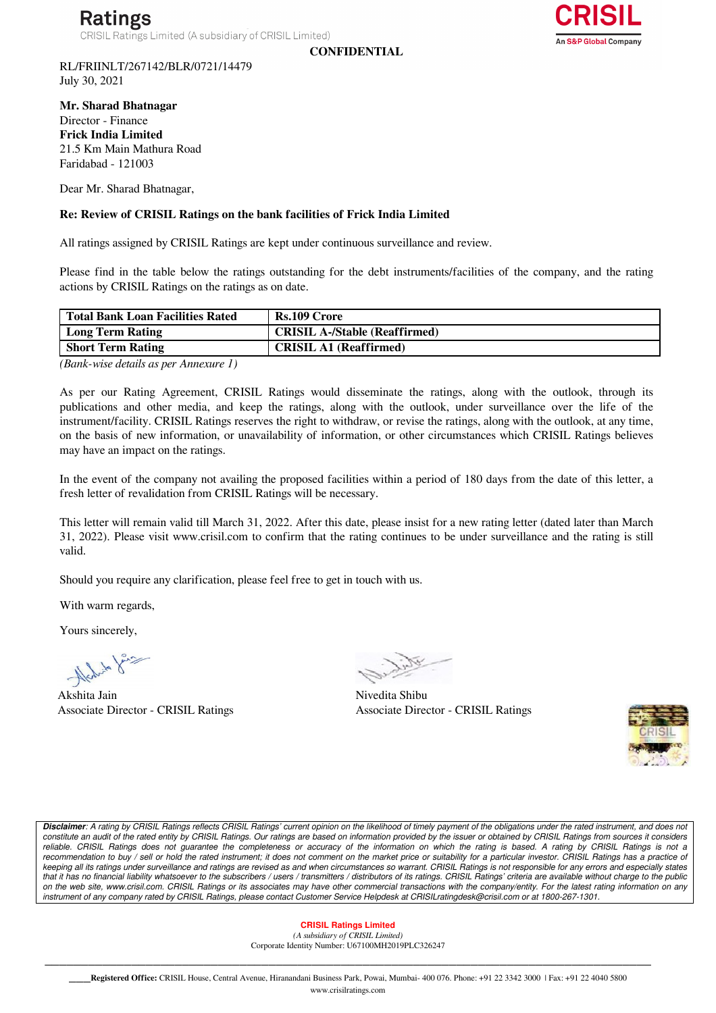**CONFIDENTIAL**



RL/FRIINLT/267142/BLR/0721/14479 July 30, 2021

**Mr. Sharad Bhatnagar**  Director - Finance **Frick India Limited** 21.5 Km Main Mathura Road Faridabad - 121003

Dear Mr. Sharad Bhatnagar,

## **Re: Review of CRISIL Ratings on the bank facilities of Frick India Limited**

All ratings assigned by CRISIL Ratings are kept under continuous surveillance and review.

Please find in the table below the ratings outstanding for the debt instruments/facilities of the company, and the rating actions by CRISIL Ratings on the ratings as on date.

| Total Bank Loan Facilities Rated | Rs.109 Crore                         |
|----------------------------------|--------------------------------------|
| Long Term Rating                 | <b>CRISIL A-/Stable (Reaffirmed)</b> |
| <b>Short Term Rating</b>         | <b>CRISIL A1 (Reaffirmed)</b>        |

*(Bank-wise details as per Annexure 1)*

As per our Rating Agreement, CRISIL Ratings would disseminate the ratings, along with the outlook, through its publications and other media, and keep the ratings, along with the outlook, under surveillance over the life of the instrument/facility. CRISIL Ratings reserves the right to withdraw, or revise the ratings, along with the outlook, at any time, on the basis of new information, or unavailability of information, or other circumstances which CRISIL Ratings believes may have an impact on the ratings.

In the event of the company not availing the proposed facilities within a period of 180 days from the date of this letter, a fresh letter of revalidation from CRISIL Ratings will be necessary.

This letter will remain valid till March 31, 2022. After this date, please insist for a new rating letter (dated later than March 31, 2022). Please visit www.crisil.com to confirm that the rating continues to be under surveillance and the rating is still valid.

Should you require any clarification, please feel free to get in touch with us.

With warm regards,

Yours sincerely,

Nich to fair

Akshita Jain Nivedita Shibu

Associate Director - CRISIL Ratings Associate Director - CRISIL Ratings



*Disclaimer: A rating by CRISIL Ratings reflects CRISIL Ratings' current opinion on the likelihood of timely payment of the obligations under the rated instrument, and does not*  constitute an audit of the rated entity by CRISIL Ratings. Our ratings are based on information provided by the issuer or obtained by CRISIL Ratings from sources it considers *reliable. CRISIL Ratings does not guarantee the completeness or accuracy of the information on which the rating is based. A rating by CRISIL Ratings is not a*  recommendation to buy / sell or hold the rated instrument; it does not comment on the market price or suitability for a particular investor. CRISIL Ratings has a practice of *keeping all its ratings under surveillance and ratings are revised as and when circumstances so warrant. CRISIL Ratings is not responsible for any errors and especially states that it has no financial liability whatsoever to the subscribers / users / transmitters / distributors of its ratings. CRISIL Ratings' criteria are available without charge to the public on the web site, www.crisil.com. CRISIL Ratings or its associates may have other commercial transactions with the company/entity. For the latest rating information on any instrument of any company rated by CRISIL Ratings, please contact Customer Service Helpdesk at CRISILratingdesk@crisil.com or at 1800-267-1301.*

> **CRISIL Ratings Limited**  *(A subsidiary of CRISIL Limited)*  Corporate Identity Number: U67100MH2019PLC326247

\_\_\_\_\_\_\_\_\_\_\_\_\_\_\_\_\_\_\_\_\_\_\_\_\_\_\_\_\_\_\_\_\_\_\_\_\_\_\_\_\_\_\_\_\_\_\_\_\_\_\_\_\_\_\_\_\_\_\_\_\_\_\_\_\_\_\_\_\_\_\_\_\_\_\_\_\_\_\_\_\_\_\_\_